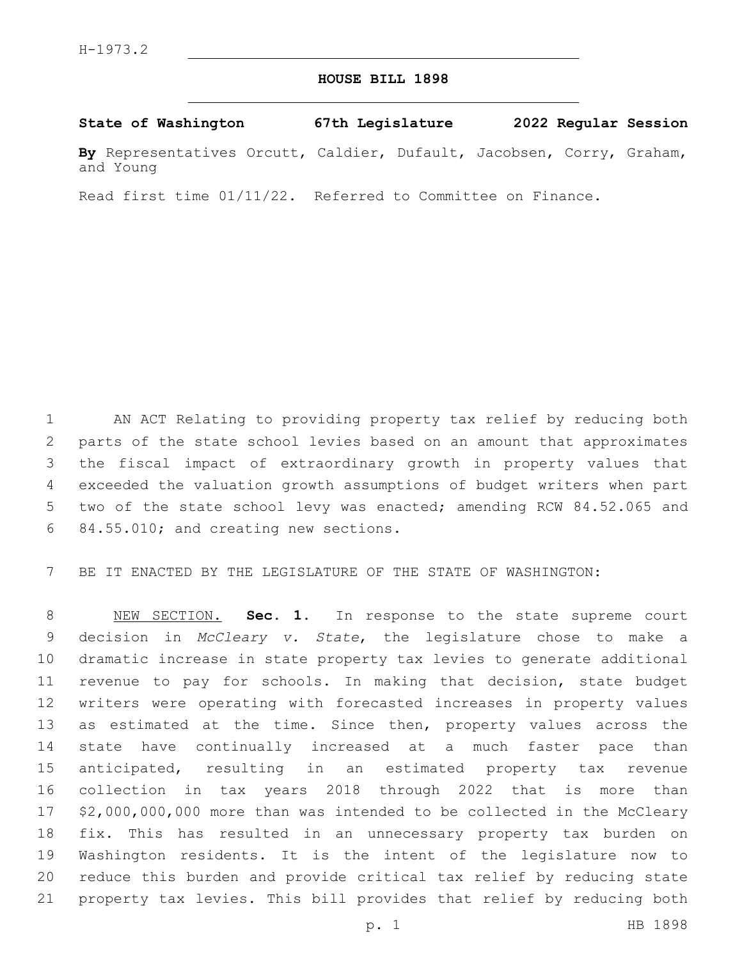## **HOUSE BILL 1898**

## **State of Washington 67th Legislature 2022 Regular Session**

**By** Representatives Orcutt, Caldier, Dufault, Jacobsen, Corry, Graham, and Young

Read first time 01/11/22. Referred to Committee on Finance.

 AN ACT Relating to providing property tax relief by reducing both parts of the state school levies based on an amount that approximates the fiscal impact of extraordinary growth in property values that exceeded the valuation growth assumptions of budget writers when part two of the state school levy was enacted; amending RCW 84.52.065 and 6 84.55.010; and creating new sections.

BE IT ENACTED BY THE LEGISLATURE OF THE STATE OF WASHINGTON:

 NEW SECTION. **Sec. 1.** In response to the state supreme court decision in *McCleary v. State*, the legislature chose to make a dramatic increase in state property tax levies to generate additional revenue to pay for schools. In making that decision, state budget writers were operating with forecasted increases in property values 13 as estimated at the time. Since then, property values across the state have continually increased at a much faster pace than anticipated, resulting in an estimated property tax revenue collection in tax years 2018 through 2022 that is more than \$2,000,000,000 more than was intended to be collected in the McCleary fix. This has resulted in an unnecessary property tax burden on Washington residents. It is the intent of the legislature now to reduce this burden and provide critical tax relief by reducing state property tax levies. This bill provides that relief by reducing both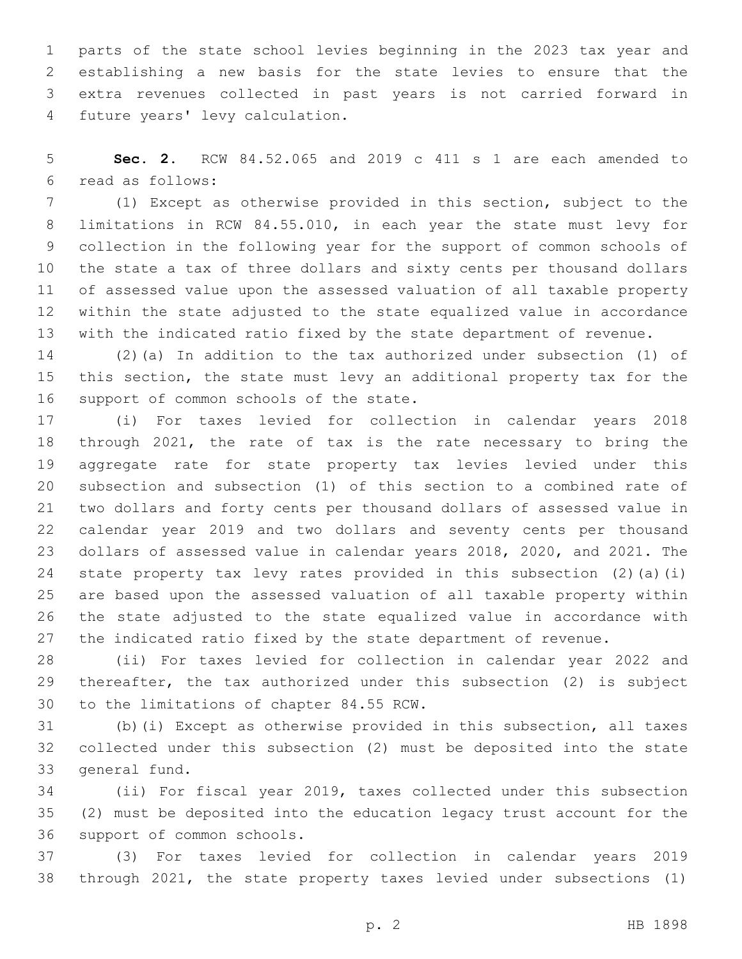parts of the state school levies beginning in the 2023 tax year and establishing a new basis for the state levies to ensure that the extra revenues collected in past years is not carried forward in 4 future years' levy calculation.

 **Sec. 2.** RCW 84.52.065 and 2019 c 411 s 1 are each amended to read as follows:6

 (1) Except as otherwise provided in this section, subject to the limitations in RCW 84.55.010, in each year the state must levy for collection in the following year for the support of common schools of the state a tax of three dollars and sixty cents per thousand dollars of assessed value upon the assessed valuation of all taxable property within the state adjusted to the state equalized value in accordance with the indicated ratio fixed by the state department of revenue.

 (2)(a) In addition to the tax authorized under subsection (1) of this section, the state must levy an additional property tax for the 16 support of common schools of the state.

 (i) For taxes levied for collection in calendar years 2018 through 2021, the rate of tax is the rate necessary to bring the aggregate rate for state property tax levies levied under this subsection and subsection (1) of this section to a combined rate of two dollars and forty cents per thousand dollars of assessed value in calendar year 2019 and two dollars and seventy cents per thousand dollars of assessed value in calendar years 2018, 2020, and 2021. The state property tax levy rates provided in this subsection (2)(a)(i) are based upon the assessed valuation of all taxable property within the state adjusted to the state equalized value in accordance with the indicated ratio fixed by the state department of revenue.

 (ii) For taxes levied for collection in calendar year 2022 and thereafter, the tax authorized under this subsection (2) is subject 30 to the limitations of chapter 84.55 RCW.

 (b)(i) Except as otherwise provided in this subsection, all taxes collected under this subsection (2) must be deposited into the state 33 general fund.

 (ii) For fiscal year 2019, taxes collected under this subsection (2) must be deposited into the education legacy trust account for the 36 support of common schools.

 (3) For taxes levied for collection in calendar years 2019 through 2021, the state property taxes levied under subsections (1)

p. 2 HB 1898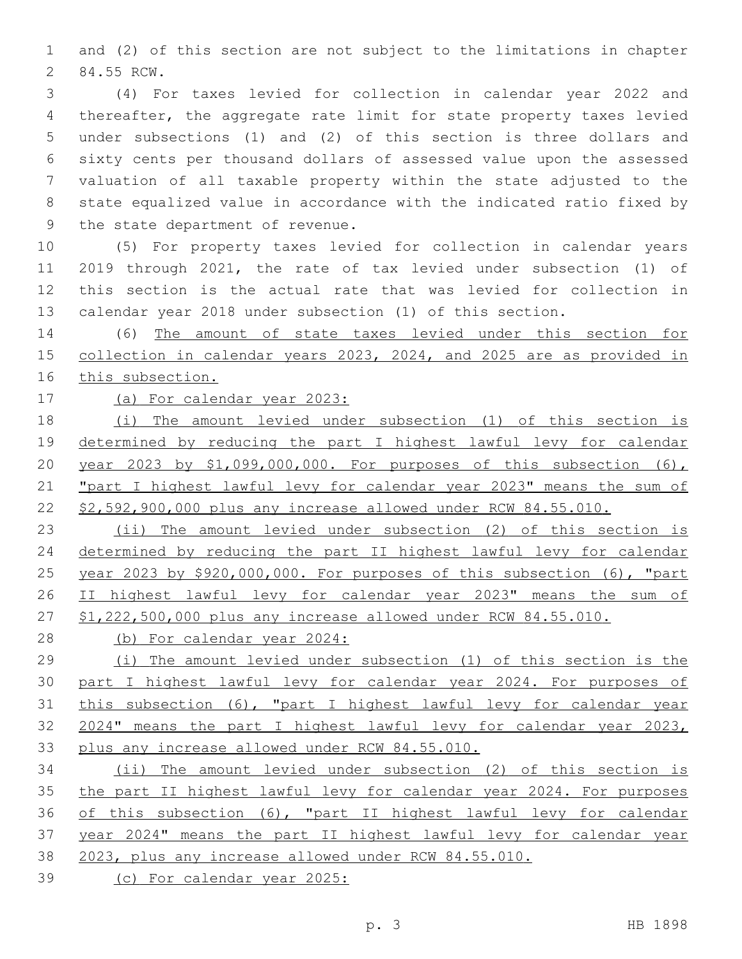and (2) of this section are not subject to the limitations in chapter 2 84.55 RCW.

 (4) For taxes levied for collection in calendar year 2022 and thereafter, the aggregate rate limit for state property taxes levied under subsections (1) and (2) of this section is three dollars and sixty cents per thousand dollars of assessed value upon the assessed valuation of all taxable property within the state adjusted to the state equalized value in accordance with the indicated ratio fixed by 9 the state department of revenue.

 (5) For property taxes levied for collection in calendar years 2019 through 2021, the rate of tax levied under subsection (1) of this section is the actual rate that was levied for collection in calendar year 2018 under subsection (1) of this section.

 (6) The amount of state taxes levied under this section for collection in calendar years 2023, 2024, and 2025 are as provided in this subsection.

(a) For calendar year 2023:

 (i) The amount levied under subsection (1) of this section is determined by reducing the part I highest lawful levy for calendar year 2023 by \$1,099,000,000. For purposes of this subsection (6), 21 "part I highest lawful levy for calendar year 2023" means the sum of \$2,592,900,000 plus any increase allowed under RCW 84.55.010.

 (ii) The amount levied under subsection (2) of this section is determined by reducing the part II highest lawful levy for calendar year 2023 by \$920,000,000. For purposes of this subsection (6), "part II highest lawful levy for calendar year 2023" means the sum of \$1,222,500,000 plus any increase allowed under RCW 84.55.010.

(b) For calendar year 2024:

 (i) The amount levied under subsection (1) of this section is the part I highest lawful levy for calendar year 2024. For purposes of this subsection (6), "part I highest lawful levy for calendar year 2024" means the part I highest lawful levy for calendar year 2023, plus any increase allowed under RCW 84.55.010.

 (ii) The amount levied under subsection (2) of this section is the part II highest lawful levy for calendar year 2024. For purposes of this subsection (6), "part II highest lawful levy for calendar year 2024" means the part II highest lawful levy for calendar year 2023, plus any increase allowed under RCW 84.55.010.

(c) For calendar year 2025: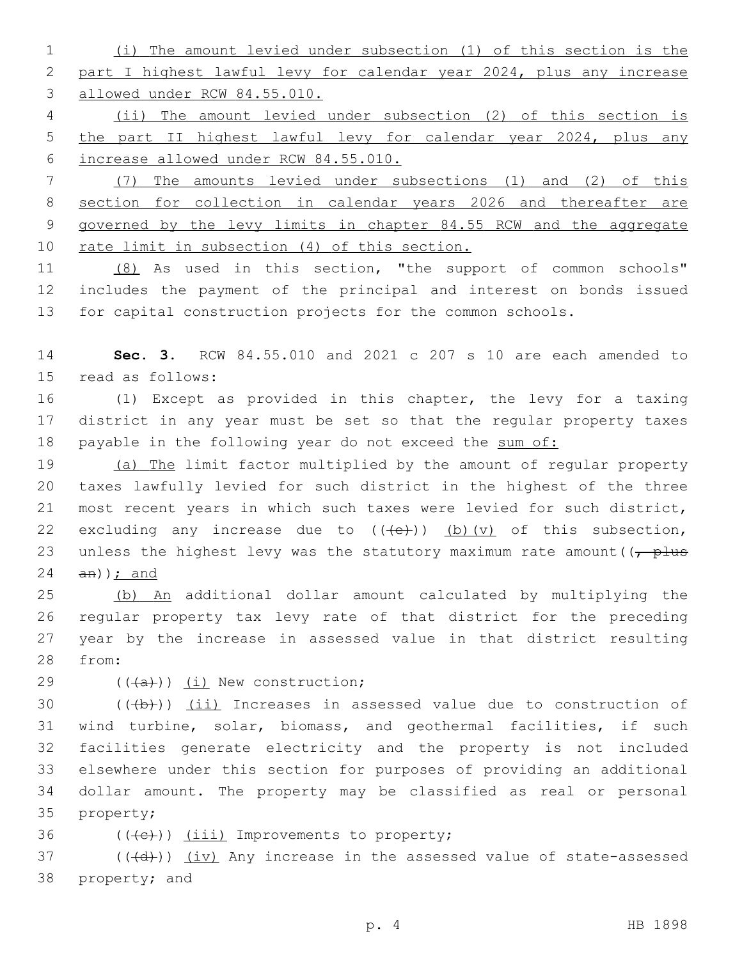(i) The amount levied under subsection (1) of this section is the part I highest lawful levy for calendar year 2024, plus any increase allowed under RCW 84.55.010.

 (ii) The amount levied under subsection (2) of this section is the part II highest lawful levy for calendar year 2024, plus any increase allowed under RCW 84.55.010.

 (7) The amounts levied under subsections (1) and (2) of this section for collection in calendar years 2026 and thereafter are governed by the levy limits in chapter 84.55 RCW and the aggregate 10 rate limit in subsection (4) of this section.

 (8) As used in this section, "the support of common schools" includes the payment of the principal and interest on bonds issued for capital construction projects for the common schools.

 **Sec. 3.** RCW 84.55.010 and 2021 c 207 s 10 are each amended to 15 read as follows:

 (1) Except as provided in this chapter, the levy for a taxing district in any year must be set so that the regular property taxes 18 payable in the following year do not exceed the sum of:

 (a) The limit factor multiplied by the amount of regular property taxes lawfully levied for such district in the highest of the three most recent years in which such taxes were levied for such district, 22 excluding any increase due to  $((+e+))$  (b)(v) of this subsection, 23 unless the highest levy was the statutory maximum rate amount ( $\sqrt{\frac{p}{m}}$ an)); and

 (b) An additional dollar amount calculated by multiplying the regular property tax levy rate of that district for the preceding year by the increase in assessed value in that district resulting 28 from:

 $((+a))$   $(i)$  New construction;

 $((+b))$   $(ii)$  Increases in assessed value due to construction of wind turbine, solar, biomass, and geothermal facilities, if such facilities generate electricity and the property is not included elsewhere under this section for purposes of providing an additional dollar amount. The property may be classified as real or personal 35 property;

36  $((+e))$   $(iii)$  Improvements to property;

37 (((+d))) (iv) Any increase in the assessed value of state-assessed 38 property; and